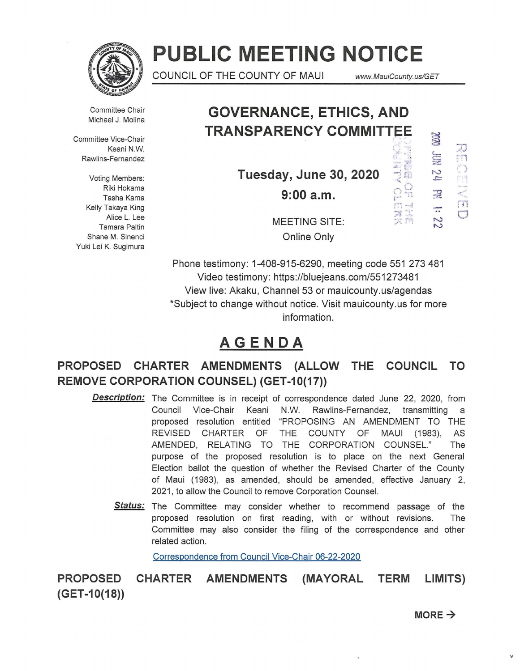

# **PUBLIC MEETING NOTICE**

COUNCIL OF THE COUNTY OF MAUl www. MauiCounty. us/GET

 $m_{\rm eff}$   $m_{\rm eff}$ ~II *A*   $"$  r  $"$ 

Committee Chair Michael J. Molina

Committee Vice-Chair  $\le$  Keani N.W.  $\le$  Construction  $\ge$  Construction  $\ge$  Construction  $\ge$  Construction  $\ge$  Construction  $\ge$  Construction  $\ge$  Construction  $\ge$  Construction  $\ge$  Construction  $\ge$  Construction  $\ge$  Construction  $\ge$  Co Rawlins-Fernandez ' i :;z::

Riki Hokama Tasha Kama Kelly Takaya King Alice L. Lee Tamara Paltin Shane M. Sinenci Yuki Lei K. Sugimura

## **GOVERNANCE, ETHICS, AND TRANSPARENCY COMMITTEE**

**Tuesday, June 30, 2020**  $\frac{1}{2}$   $\frac{1}{2}$   $\frac{1}{2}$   $\frac{1}{2}$ **9:00a.m.** 

 $\epsilon \in \mathbb{Z}$  $\overline{2}$   $\overline{3}$  $\sigma_{\nu_{\alpha\gamma}}^{''}$  $\Xi$ -.. N N  $+1$ 0

MEETING SITE: Online Only

Phone testimony: 1-408-915-6290, meeting code 551 273 481 Video testimony: https://bluejeans.com/551273481 View live: Akaku, Channel 53 or mauicounty.us/agendas \*Subject to change without notice. Visit mauicounty.us for more information.

### **AGENDA**

**PROPOSED CHARTER AMENDMENTS (ALLOW THE COUNCIL TO REMOVE CORPORATION COUNSEL) (GET-10(17))** 

- **Description:** The Committee is in receipt of correspondence dated June 22, 2020, from Council Vice-Chair Keani N.W. Rawlins-Fernandez, transmitting a proposed resolution entitled "PROPOSING AN AMENDMENT TO THE REVISED CHARTER OF THE COUNTY OF MAUl (1983), AS AMENDED, RELATING TO THE CORPORATION COUNSEL." The purpose of the proposed resolution is to place on the next General Election ballot the question of whether the Revised Charter of the County of Maui (1983), as amended, should be amended, effective January 2, 2021, to allow the Council to remove Corporation Counsel.
	- Status: The Committee may consider whether to recommend passage of the proposed resolution on first reading, with or without revisions. The Committee may also consider the filing of the correspondence and other related action.

Correspondence from Council Vice-Chair 06-22-2020

**PROPOSED CHARTER AMENDMENTS (MAYORAL TERM LIMITS) (GET -1 0(18))** 

 $MORE \rightarrow$